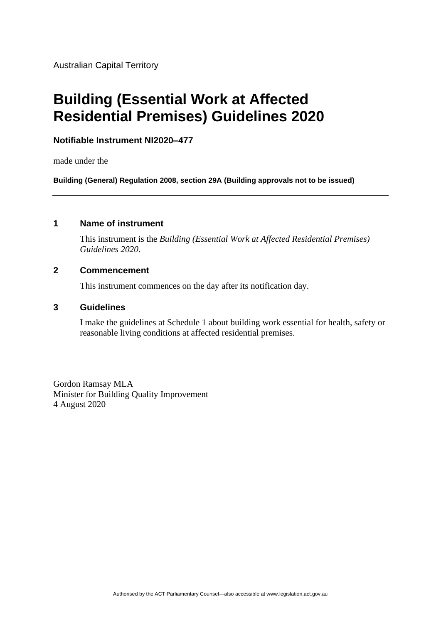Australian Capital Territory

# **Building (Essential Work at Affected Residential Premises) Guidelines 2020**

#### **Notifiable Instrument NI2020–477**

made under the

**Building (General) Regulation 2008, section 29A (Building approvals not to be issued)**

# **1 Name of instrument**

This instrument is the *Building (Essential Work at Affected Residential Premises) Guidelines 2020.*

#### **2 Commencement**

This instrument commences on the day after its notification day.

#### **3 Guidelines**

I make the guidelines at Schedule 1 about building work essential for health, safety or reasonable living conditions at affected residential premises.

Gordon Ramsay MLA Minister for Building Quality Improvement 4 August 2020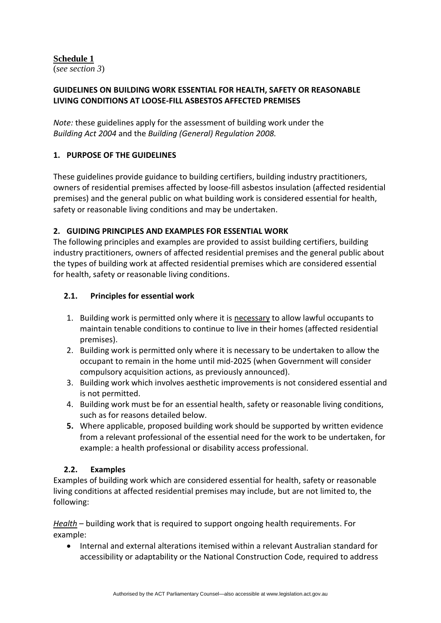# **Schedule 1**

(*see section 3*)

# **GUIDELINES ON BUILDING WORK ESSENTIAL FOR HEALTH, SAFETY OR REASONABLE LIVING CONDITIONS AT LOOSE-FILL ASBESTOS AFFECTED PREMISES**

*Note:* these guidelines apply for the assessment of building work under the *Building Act 2004* and the *Building (General) Regulation 2008.* 

# **1. PURPOSE OF THE GUIDELINES**

These guidelines provide guidance to building certifiers, building industry practitioners, owners of residential premises affected by loose-fill asbestos insulation (affected residential premises) and the general public on what building work is considered essential for health, safety or reasonable living conditions and may be undertaken.

# **2. GUIDING PRINCIPLES AND EXAMPLES FOR ESSENTIAL WORK**

The following principles and examples are provided to assist building certifiers, building industry practitioners, owners of affected residential premises and the general public about the types of building work at affected residential premises which are considered essential for health, safety or reasonable living conditions.

# **2.1. Principles for essential work**

- 1. Building work is permitted only where it is necessary to allow lawful occupants to maintain tenable conditions to continue to live in their homes (affected residential premises).
- 2. Building work is permitted only where it is necessary to be undertaken to allow the occupant to remain in the home until mid-2025 (when Government will consider compulsory acquisition actions, as previously announced).
- 3. Building work which involves aesthetic improvements is not considered essential and is not permitted.
- 4. Building work must be for an essential health, safety or reasonable living conditions, such as for reasons detailed below.
- **5.** Where applicable, proposed building work should be supported by written evidence from a relevant professional of the essential need for the work to be undertaken, for example: a health professional or disability access professional.

# **2.2. Examples**

Examples of building work which are considered essential for health, safety or reasonable living conditions at affected residential premises may include, but are not limited to, the following:

*Health* – building work that is required to support ongoing health requirements. For example:

• Internal and external alterations itemised within a relevant Australian standard for accessibility or adaptability or the National Construction Code, required to address